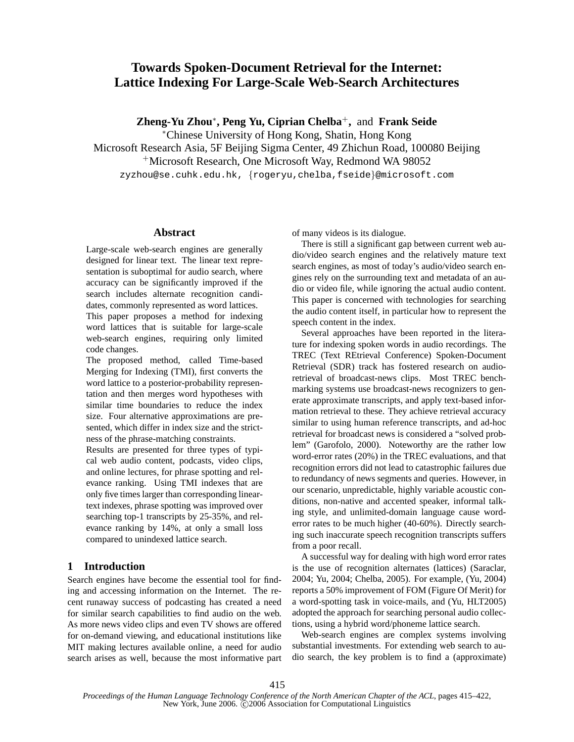# **Towards Spoken-Document Retrieval for the Internet: Lattice Indexing For Large-Scale Web-Search Architectures**

**Zheng-Yu Zhou**<sup>∗</sup> **, Peng Yu, Ciprian Chelba**<sup>+</sup>**,** and **Frank Seide**

<sup>∗</sup>Chinese University of Hong Kong, Shatin, Hong Kong

Microsoft Research Asia, 5F Beijing Sigma Center, 49 Zhichun Road, 100080 Beijing

<sup>+</sup>Microsoft Research, One Microsoft Way, Redmond WA 98052

zyzhou@se.cuhk.edu.hk, {rogeryu,chelba,fseide}@microsoft.com

#### **Abstract**

Large-scale web-search engines are generally designed for linear text. The linear text representation is suboptimal for audio search, where accuracy can be significantly improved if the search includes alternate recognition candidates, commonly represented as word lattices.

This paper proposes a method for indexing word lattices that is suitable for large-scale web-search engines, requiring only limited code changes.

The proposed method, called Time-based Merging for Indexing (TMI), first converts the word lattice to a posterior-probability representation and then merges word hypotheses with similar time boundaries to reduce the index size. Four alternative approximations are presented, which differ in index size and the strictness of the phrase-matching constraints.

Results are presented for three types of typical web audio content, podcasts, video clips, and online lectures, for phrase spotting and relevance ranking. Using TMI indexes that are only five times larger than corresponding lineartext indexes, phrase spotting was improved over searching top-1 transcripts by 25-35%, and relevance ranking by 14%, at only a small loss compared to unindexed lattice search.

## **1 Introduction**

Search engines have become the essential tool for finding and accessing information on the Internet. The recent runaway success of podcasting has created a need for similar search capabilities to find audio on the web. As more news video clips and even TV shows are offered for on-demand viewing, and educational institutions like MIT making lectures available online, a need for audio search arises as well, because the most informative part of many videos is its dialogue.

There is still a significant gap between current web audio/video search engines and the relatively mature text search engines, as most of today's audio/video search engines rely on the surrounding text and metadata of an audio or video file, while ignoring the actual audio content. This paper is concerned with technologies for searching the audio content itself, in particular how to represent the speech content in the index.

Several approaches have been reported in the literature for indexing spoken words in audio recordings. The TREC (Text REtrieval Conference) Spoken-Document Retrieval (SDR) track has fostered research on audioretrieval of broadcast-news clips. Most TREC benchmarking systems use broadcast-news recognizers to generate approximate transcripts, and apply text-based information retrieval to these. They achieve retrieval accuracy similar to using human reference transcripts, and ad-hoc retrieval for broadcast news is considered a "solved problem" (Garofolo, 2000). Noteworthy are the rather low word-error rates (20%) in the TREC evaluations, and that recognition errors did not lead to catastrophic failures due to redundancy of news segments and queries. However, in our scenario, unpredictable, highly variable acoustic conditions, non-native and accented speaker, informal talking style, and unlimited-domain language cause worderror rates to be much higher (40-60%). Directly searching such inaccurate speech recognition transcripts suffers from a poor recall.

A successful way for dealing with high word error rates is the use of recognition alternates (lattices) (Saraclar, 2004; Yu, 2004; Chelba, 2005). For example, (Yu, 2004) reports a 50% improvement of FOM (Figure Of Merit) for a word-spotting task in voice-mails, and (Yu, HLT2005) adopted the approach for searching personal audio collections, using a hybrid word/phoneme lattice search.

Web-search engines are complex systems involving substantial investments. For extending web search to audio search, the key problem is to find a (approximate)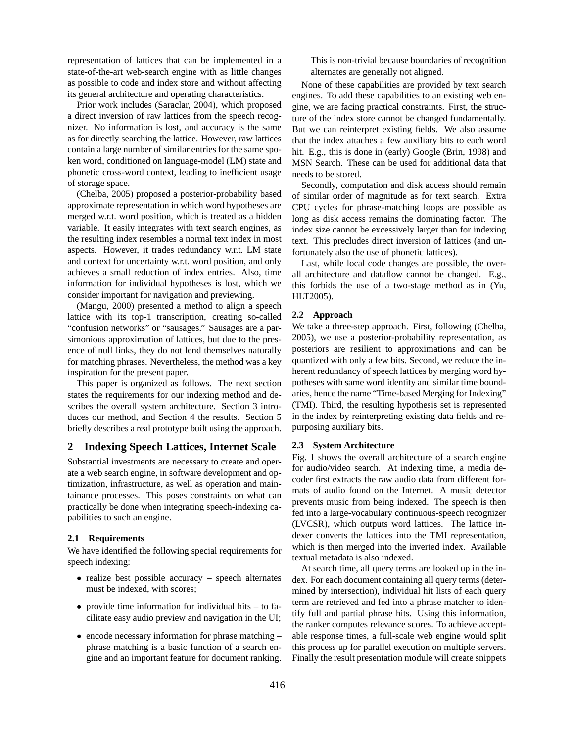representation of lattices that can be implemented in a state-of-the-art web-search engine with as little changes as possible to code and index store and without affecting its general architecture and operating characteristics.

Prior work includes (Saraclar, 2004), which proposed a direct inversion of raw lattices from the speech recognizer. No information is lost, and accuracy is the same as for directly searching the lattice. However, raw lattices contain a large number of similar entries for the same spoken word, conditioned on language-model (LM) state and phonetic cross-word context, leading to inefficient usage of storage space.

(Chelba, 2005) proposed a posterior-probability based approximate representation in which word hypotheses are merged w.r.t. word position, which is treated as a hidden variable. It easily integrates with text search engines, as the resulting index resembles a normal text index in most aspects. However, it trades redundancy w.r.t. LM state and context for uncertainty w.r.t. word position, and only achieves a small reduction of index entries. Also, time information for individual hypotheses is lost, which we consider important for navigation and previewing.

(Mangu, 2000) presented a method to align a speech lattice with its top-1 transcription, creating so-called "confusion networks" or "sausages." Sausages are a parsimonious approximation of lattices, but due to the presence of null links, they do not lend themselves naturally for matching phrases. Nevertheless, the method was a key inspiration for the present paper.

This paper is organized as follows. The next section states the requirements for our indexing method and describes the overall system architecture. Section 3 introduces our method, and Section 4 the results. Section 5 briefly describes a real prototype built using the approach.

## **2 Indexing Speech Lattices, Internet Scale**

Substantial investments are necessary to create and operate a web search engine, in software development and optimization, infrastructure, as well as operation and maintainance processes. This poses constraints on what can practically be done when integrating speech-indexing capabilities to such an engine.

#### **2.1 Requirements**

We have identified the following special requirements for speech indexing:

- realize best possible accuracy speech alternates must be indexed, with scores;
- provide time information for individual hits to facilitate easy audio preview and navigation in the UI;
- encode necessary information for phrase matching phrase matching is a basic function of a search engine and an important feature for document ranking.

This is non-trivial because boundaries of recognition alternates are generally not aligned.

None of these capabilities are provided by text search engines. To add these capabilities to an existing web engine, we are facing practical constraints. First, the structure of the index store cannot be changed fundamentally. But we can reinterpret existing fields. We also assume that the index attaches a few auxiliary bits to each word hit. E.g., this is done in (early) Google (Brin, 1998) and MSN Search. These can be used for additional data that needs to be stored.

Secondly, computation and disk access should remain of similar order of magnitude as for text search. Extra CPU cycles for phrase-matching loops are possible as long as disk access remains the dominating factor. The index size cannot be excessively larger than for indexing text. This precludes direct inversion of lattices (and unfortunately also the use of phonetic lattices).

Last, while local code changes are possible, the overall architecture and dataflow cannot be changed. E.g., this forbids the use of a two-stage method as in (Yu, HLT2005).

## **2.2 Approach**

We take a three-step approach. First, following (Chelba, 2005), we use a posterior-probability representation, as posteriors are resilient to approximations and can be quantized with only a few bits. Second, we reduce the inherent redundancy of speech lattices by merging word hypotheses with same word identity and similar time boundaries, hence the name "Time-based Merging for Indexing" (TMI). Third, the resulting hypothesis set is represented in the index by reinterpreting existing data fields and repurposing auxiliary bits.

## **2.3 System Architecture**

Fig. 1 shows the overall architecture of a search engine for audio/video search. At indexing time, a media decoder first extracts the raw audio data from different formats of audio found on the Internet. A music detector prevents music from being indexed. The speech is then fed into a large-vocabulary continuous-speech recognizer (LVCSR), which outputs word lattices. The lattice indexer converts the lattices into the TMI representation, which is then merged into the inverted index. Available textual metadata is also indexed.

At search time, all query terms are looked up in the index. For each document containing all query terms (determined by intersection), individual hit lists of each query term are retrieved and fed into a phrase matcher to identify full and partial phrase hits. Using this information, the ranker computes relevance scores. To achieve acceptable response times, a full-scale web engine would split this process up for parallel execution on multiple servers. Finally the result presentation module will create snippets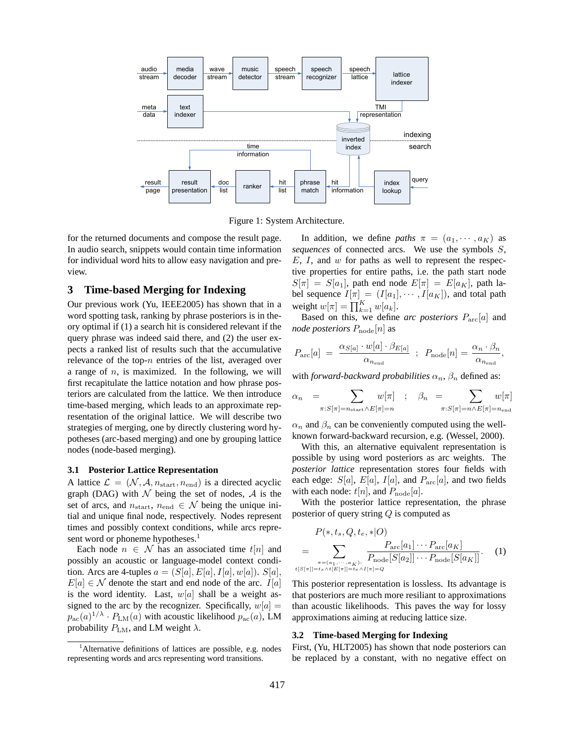

Figure 1: System Architecture.

for the returned documents and compose the result page. In audio search, snippets would contain time information for individual word hits to allow easy navigation and preview.

## **3 Time-based Merging for Indexing**

Our previous work (Yu, IEEE2005) has shown that in a word spotting task, ranking by phrase posteriors is in theory optimal if (1) a search hit is considered relevant if the query phrase was indeed said there, and (2) the user expects a ranked list of results such that the accumulative relevance of the top- $n$  entries of the list, averaged over a range of  $n$ , is maximized. In the following, we will first recapitulate the lattice notation and how phrase posteriors are calculated from the lattice. We then introduce time-based merging, which leads to an approximate representation of the original lattice. We will describe two strategies of merging, one by directly clustering word hypotheses (arc-based merging) and one by grouping lattice nodes (node-based merging).

#### **3.1 Posterior Lattice Representation**

A lattice  $\mathcal{L} = (\mathcal{N}, \mathcal{A}, n_{\text{start}}, n_{\text{end}})$  is a directed acyclic graph (DAG) with  $\mathcal N$  being the set of nodes,  $\mathcal A$  is the set of arcs, and  $n_{\text{start}}$ ,  $n_{\text{end}} \in \mathcal{N}$  being the unique initial and unique final node, respectively. Nodes represent times and possibly context conditions, while arcs represent word or phoneme hypotheses.<sup>1</sup>

Each node  $n \in \mathcal{N}$  has an associated time  $t[n]$  and possibly an acoustic or language-model context condition. Arcs are 4-tuples  $a = (S[a], E[a], I[a], w[a])$ .  $S[a]$ ,  $E[a] \in \mathcal{N}$  denote the start and end node of the arc.  $I[a]$ is the word identity. Last,  $w[a]$  shall be a weight assigned to the arc by the recognizer. Specifically,  $w[a] =$  $p_{\rm ac}(a)^{1/\lambda} \cdot P_{\rm LM}(a)$  with acoustic likelihood  $p_{\rm ac}(a)$ , LM probability  $P_{\text{LM}}$ , and LM weight  $\lambda$ .

In addition, we define *paths*  $\pi = (a_1, \dots, a_K)$  as *sequences* of connected arcs. We use the symbols S,  $E, I$ , and  $w$  for paths as well to represent the respective properties for entire paths, i.e. the path start node  $S[\pi] = S[a_1]$ , path end node  $E[\pi] = E[a_K]$ , path label sequence  $I[\pi] = (I[a_1], \cdots, I[a_K])$ , and total path<br>weight  $w[\pi] = \prod_{k=1}^K w[a_k]$ .

Based on this, we define *arc posteriors* Parc[a] and *node posteriors*  $P_{\text{node}}[n]$  as

$$
P_{\rm arc}[a] = \frac{\alpha_{S[a]} \cdot w[a] \cdot \beta_{E[a]}}{\alpha_{n_{\rm end}}} \; ; \; P_{\rm node}[n] = \frac{\alpha_n \cdot \beta_n}{\alpha_{n_{\rm end}}},
$$

with *forward-backward probabilities*  $\alpha_n$ ,  $\beta_n$  defined as:

$$
\alpha_n = \sum_{\pi: S[\pi] = n_{\text{start}} \wedge E[\pi] = n} w[\pi] \quad ; \quad \beta_n = \sum_{\pi: S[\pi] = n \wedge E[\pi] = n_{\text{end}} w[\pi]
$$

 $\alpha_n$  and  $\beta_n$  can be conveniently computed using the wellknown forward-backward recursion, e.g. (Wessel, 2000).

With this, an alternative equivalent representation is possible by using word posteriors as arc weights. The *posterior lattice* representation stores four fields with each edge:  $S[a]$ ,  $E[a]$ ,  $I[a]$ , and  $P_{\text{arc}}[a]$ , and two fields with each node:  $t[n]$ , and  $P_{\text{node}}[a]$ .

With the posterior lattice representation, the phrase posterior of query string Q is computed as

$$
P(*, t_s, Q, t_e, * | O)
$$
\n
$$
= \sum_{\substack{\pi = (a_1, \dots, a_K): \\ t[S[\pi]] = t_s \wedge t[E[\pi]] = t_e \wedge I[\pi] = Q}} \frac{P_{\text{arc}}[a_1] \cdots P_{\text{arc}}[a_K]}{P_{\text{node}}[S[a_2]] \cdots P_{\text{node}}[S[a_K]]}.
$$
 (1)

This posterior representation is lossless. Its advantage is that posteriors are much more resiliant to approximations than acoustic likelihoods. This paves the way for lossy approximations aiming at reducing lattice size.

#### **3.2 Time-based Merging for Indexing**

First, (Yu, HLT2005) has shown that node posteriors can be replaced by a constant, with no negative effect on

<sup>&</sup>lt;sup>1</sup>Alternative definitions of lattices are possible, e.g. nodes representing words and arcs representing word transitions.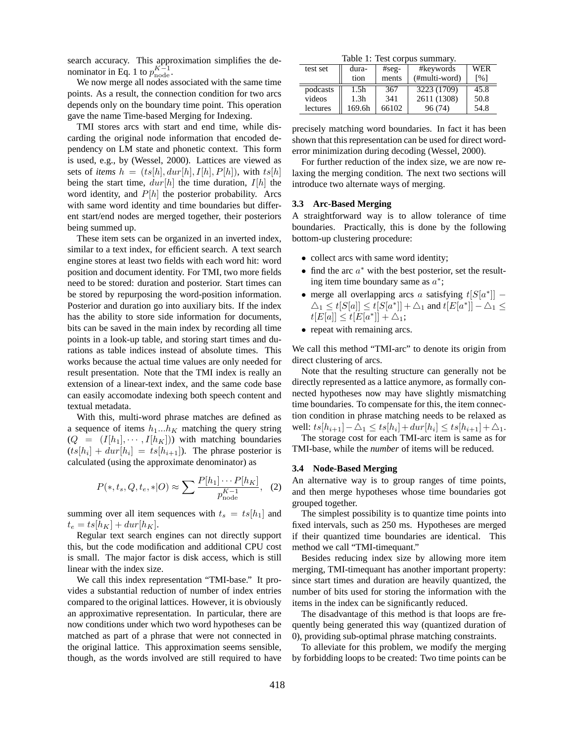search accuracy. This approximation simplifies the denominator in Eq. 1 to  $p_{\text{node}}^{K-1}$ .

We now merge all nodes associated with the same time points. As a result, the connection condition for two arcs depends only on the boundary time point. This operation gave the name Time-based Merging for Indexing.

TMI stores arcs with start and end time, while discarding the original node information that encoded dependency on LM state and phonetic context. This form is used, e.g., by (Wessel, 2000). Lattices are viewed as sets of *items*  $h = (ts[h], dur[h], I[h], P[h])$ , with  $ts[h]$ being the start time,  $dur[h]$  the time duration,  $I[h]$  the word identity, and  $P[h]$  the posterior probability. Arcs with same word identity and time boundaries but different start/end nodes are merged together, their posteriors being summed up.

These item sets can be organized in an inverted index, similar to a text index, for efficient search. A text search engine stores at least two fields with each word hit: word position and document identity. For TMI, two more fields need to be stored: duration and posterior. Start times can be stored by repurposing the word-position information. Posterior and duration go into auxiliary bits. If the index has the ability to store side information for documents, bits can be saved in the main index by recording all time points in a look-up table, and storing start times and durations as table indices instead of absolute times. This works because the actual time values are only needed for result presentation. Note that the TMI index is really an extension of a linear-text index, and the same code base can easily accomodate indexing both speech content and textual metadata.

With this, multi-word phrase matches are defined as a sequence of items  $h_1...h_K$  matching the query string  $(Q = (I[h_1], \cdots, I[h_K]))$  with matching boundaries  $(ts[h_i] + dur[h_i] = ts[h_{i+1}])$ . The phrase posterior is calculated (using the approximate denominator) as

$$
P(*, t_s, Q, t_e, *|O) \approx \sum \frac{P[h_1] \cdots P[h_K]}{p_{\text{node}}^{K-1}}, \quad (2)
$$

summing over all item sequences with  $t_s = t s[h_1]$  and  $t_e = t s[h_K] + dur[h_K].$ 

Regular text search engines can not directly support this, but the code modification and additional CPU cost is small. The major factor is disk access, which is still linear with the index size.

We call this index representation "TMI-base." It provides a substantial reduction of number of index entries compared to the original lattices. However, it is obviously an approximative representation. In particular, there are now conditions under which two word hypotheses can be matched as part of a phrase that were not connected in the original lattice. This approximation seems sensible, though, as the words involved are still required to have

|  |  | Table 1: Test corpus summary. |
|--|--|-------------------------------|
|--|--|-------------------------------|

| test set | dura-            | $#seg-$ | #keywords     | WER               |  |  |
|----------|------------------|---------|---------------|-------------------|--|--|
|          | tion             | ments   | (#multi-word) | $\lceil\% \rceil$ |  |  |
| podcasts | 1.5h             | 367     | 3223 (1709)   | 45.8              |  |  |
| videos   | 1.3 <sub>h</sub> | 341     | 2611 (1308)   | 50.8              |  |  |
| lectures | 169.6h           | 66102   | 96(74)        | 54.8              |  |  |

precisely matching word boundaries. In fact it has been shown that this representation can be used for direct worderror minimization during decoding (Wessel, 2000).

For further reduction of the index size, we are now relaxing the merging condition. The next two sections will introduce two alternate ways of merging.

#### **3.3 Arc-Based Merging**

A straightforward way is to allow tolerance of time boundaries. Practically, this is done by the following bottom-up clustering procedure:

- collect arcs with same word identity;
- find the arc  $a^*$  with the best posterior, set the resulting item time boundary same as  $a^*$ ;
- merge all overlapping arcs a satisfying  $t[S[a^*]]$   $\triangle_1 \leq t[S[a]] \leq t[S[a^*]] + \triangle_1$  and  $t[E[a^*]] - \triangle_1 \leq$  $t[E[a]] \leq t[E[a^*]] + \triangle_1;$
- repeat with remaining arcs.

We call this method "TMI-arc" to denote its origin from direct clustering of arcs.

Note that the resulting structure can generally not be directly represented as a lattice anymore, as formally connected hypotheses now may have slightly mismatching time boundaries. To compensate for this, the item connection condition in phrase matching needs to be relaxed as well:  $ts[h_{i+1}] - \Delta_1 \le ts[h_i] + dur[h_i] \le ts[h_{i+1}] + \Delta_1.$ 

The storage cost for each TMI-arc item is same as for TMI-base, while the *number* of items will be reduced.

#### **3.4 Node-Based Merging**

An alternative way is to group ranges of time points, and then merge hypotheses whose time boundaries got grouped together.

The simplest possibility is to quantize time points into fixed intervals, such as 250 ms. Hypotheses are merged if their quantized time boundaries are identical. This method we call "TMI-timequant."

Besides reducing index size by allowing more item merging, TMI-timequant has another important property: since start times and duration are heavily quantized, the number of bits used for storing the information with the items in the index can be significantly reduced.

The disadvantage of this method is that loops are frequently being generated this way (quantized duration of 0), providing sub-optimal phrase matching constraints.

To alleviate for this problem, we modify the merging by forbidding loops to be created: Two time points can be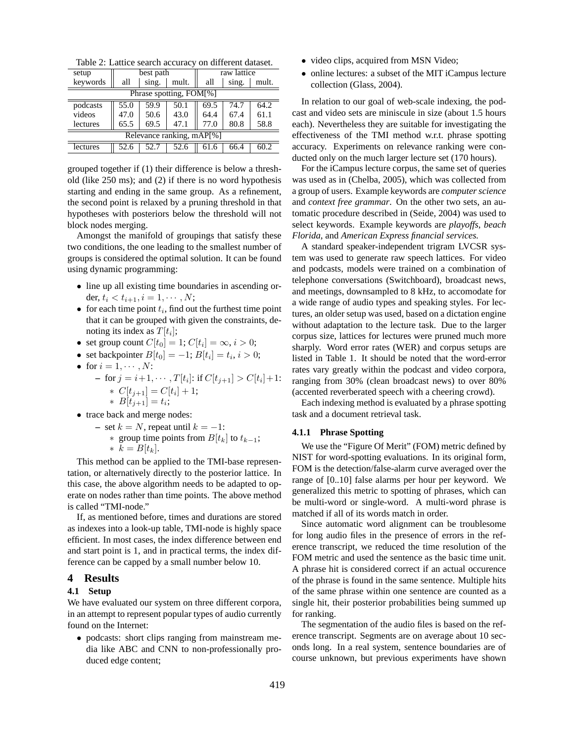Table 2: Lattice search accuracy on different dataset.

| setup                     | best path |       |       | raw lattice |       |       |  |
|---------------------------|-----------|-------|-------|-------------|-------|-------|--|
| keywords                  | all       | sing. | mult. | all         | sing. | mult. |  |
| Phrase spotting, FOM[%]   |           |       |       |             |       |       |  |
| podcasts                  | 55.0      | 59.9  | 50.1  | 69.5        | 74.7  | 64.2  |  |
| videos                    | 47.0      | 50.6  | 43.0  | 64.4        | 67.4  | 61.1  |  |
| lectures                  | 65.5      | 69.5  | 47.1  | 77.0        | 80.8  | 58.8  |  |
| Relevance ranking, mAP[%] |           |       |       |             |       |       |  |
| lectures                  | 52.6      | 52.7  | 52.6  | 6           | 66.4  | 602   |  |

grouped together if (1) their difference is below a threshold (like 250 ms); and (2) if there is no word hypothesis starting and ending in the same group. As a refinement, the second point is relaxed by a pruning threshold in that hypotheses with posteriors below the threshold will not block nodes merging.

Amongst the manifold of groupings that satisfy these two conditions, the one leading to the smallest number of groups is considered the optimal solution. It can be found using dynamic programming:

- line up all existing time boundaries in ascending order,  $t_i < t_{i+1}, i = 1, \cdots, N;$
- for each time point  $t_i$ , find out the furthest time point that it can be grouped with given the constraints, denoting its index as  $T[t_i]$ ;
- set group count  $C[t_0] = 1$ ;  $C[t_i] = \infty$ ,  $i > 0$ ;
- set backpointer  $B[t_0] = -1; B[t_i] = t_i, i > 0;$
- for  $i = 1, \cdots, N$ :

- for 
$$
j = i+1, \dots, T[t_i]
$$
: if  $C[t_{j+1}] > C[t_i]+1$ :  
\n\*  $C[t_{j+1}] = C[t_i] + 1$ ;  
\n\*  $B[t_{j+1}] = t_i$ ;

- trace back and merge nodes:
	- set  $k = N$ , repeat until  $k = −1$ :
		- ∗ group time points from  $B[t_k]$  to  $t_{k-1}$ ;  $\ast \, k = B[t_k].$

This method can be applied to the TMI-base representation, or alternatively directly to the posterior lattice. In this case, the above algorithm needs to be adapted to operate on nodes rather than time points. The above method is called "TMI-node."

If, as mentioned before, times and durations are stored as indexes into a look-up table, TMI-node is highly space efficient. In most cases, the index difference between end and start point is 1, and in practical terms, the index difference can be capped by a small number below 10.

## **4 Results**

#### **4.1 Setup**

We have evaluated our system on three different corpora, in an attempt to represent popular types of audio currently found on the Internet:

• podcasts: short clips ranging from mainstream media like ABC and CNN to non-professionally produced edge content;

- video clips, acquired from MSN Video;
- online lectures: a subset of the MIT iCampus lecture collection (Glass, 2004).

In relation to our goal of web-scale indexing, the podcast and video sets are miniscule in size (about 1.5 hours each). Nevertheless they are suitable for investigating the effectiveness of the TMI method w.r.t. phrase spotting accuracy. Experiments on relevance ranking were conducted only on the much larger lecture set (170 hours).

For the iCampus lecture corpus, the same set of queries was used as in (Chelba, 2005), which was collected from a group of users. Example keywords are *computer science* and *context free grammar*. On the other two sets, an automatic procedure described in (Seide, 2004) was used to select keywords. Example keywords are *playoffs*, *beach Florida*, and *American Express financial services.*

A standard speaker-independent trigram LVCSR system was used to generate raw speech lattices. For video and podcasts, models were trained on a combination of telephone conversations (Switchboard), broadcast news, and meetings, downsampled to 8 kHz, to accomodate for a wide range of audio types and speaking styles. For lectures, an older setup was used, based on a dictation engine without adaptation to the lecture task. Due to the larger corpus size, lattices for lectures were pruned much more sharply. Word error rates (WER) and corpus setups are listed in Table 1. It should be noted that the word-error rates vary greatly within the podcast and video corpora, ranging from 30% (clean broadcast news) to over 80% (accented reverberated speech with a cheering crowd).

Each indexing method is evaluated by a phrase spotting task and a document retrieval task.

## **4.1.1 Phrase Spotting**

We use the "Figure Of Merit" (FOM) metric defined by NIST for word-spotting evaluations. In its original form, FOM is the detection/false-alarm curve averaged over the range of [0..10] false alarms per hour per keyword. We generalized this metric to spotting of phrases, which can be multi-word or single-word. A multi-word phrase is matched if all of its words match in order.

Since automatic word alignment can be troublesome for long audio files in the presence of errors in the reference transcript, we reduced the time resolution of the FOM metric and used the sentence as the basic time unit. A phrase hit is considered correct if an actual occurence of the phrase is found in the same sentence. Multiple hits of the same phrase within one sentence are counted as a single hit, their posterior probabilities being summed up for ranking.

The segmentation of the audio files is based on the reference transcript. Segments are on average about 10 seconds long. In a real system, sentence boundaries are of course unknown, but previous experiments have shown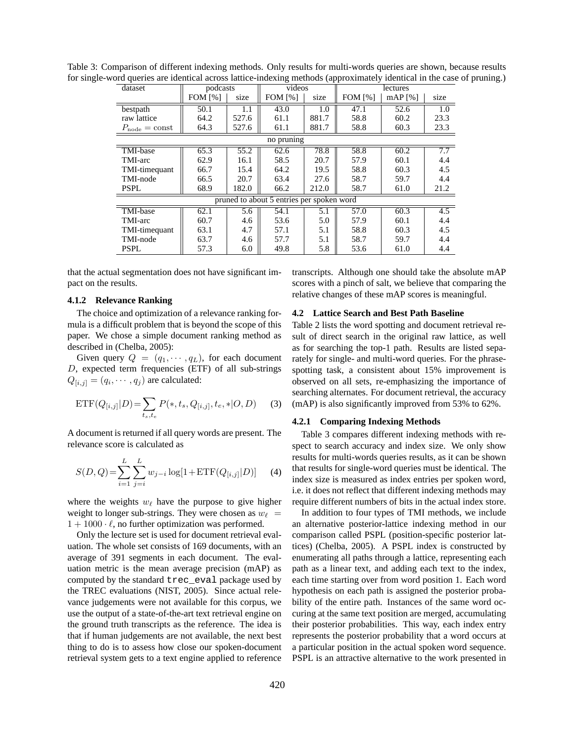| dataset                          | $($ wppionaniwe<br>videos<br>podcasts     |       |                | lectures |                |           |                  |
|----------------------------------|-------------------------------------------|-------|----------------|----------|----------------|-----------|------------------|
|                                  | <b>FOM</b> [%]                            | size  | <b>FOM [%]</b> | size     | <b>FOM</b> [%] | $mAP$ [%] | size             |
| bestpath                         | 50.1                                      | 1.1   | 43.0           | 1.0      | 47.1           | 52.6      | $\overline{1.0}$ |
| raw lattice                      | 64.2                                      | 527.6 | 61.1           | 881.7    | 58.8           | 60.2      | 23.3             |
| $P_{\text{node}} = \text{const}$ | 64.3                                      | 527.6 | 61.1           | 881.7    | 58.8           | 60.3      | 23.3             |
|                                  | no pruning                                |       |                |          |                |           |                  |
| TMI-base                         | 65.3                                      | 55.2  | 62.6           | 78.8     | 58.8           | 60.2      | 7.7              |
| TMI-arc                          | 62.9                                      | 16.1  | 58.5           | 20.7     | 57.9           | 60.1      | 4.4              |
| TMI-timequant                    | 66.7                                      | 15.4  | 64.2           | 19.5     | 58.8           | 60.3      | 4.5              |
| TMI-node                         | 66.5                                      | 20.7  | 63.4           | 27.6     | 58.7           | 59.7      | 4.4              |
| <b>PSPL</b>                      | 68.9                                      | 182.0 | 66.2           | 212.0    | 58.7           | 61.0      | 21.2             |
|                                  | pruned to about 5 entries per spoken word |       |                |          |                |           |                  |
| TMI-base                         | 62.1                                      | 5.6   | 54.1           | 5.1      | 57.0           | 60.3      | $\overline{4.5}$ |
| TMI-arc                          | 60.7                                      | 4.6   | 53.6           | 5.0      | 57.9           | 60.1      | 4.4              |
| TMI-timequant                    | 63.1                                      | 4.7   | 57.1           | 5.1      | 58.8           | 60.3      | 4.5              |
| TMI-node                         | 63.7                                      | 4.6   | 57.7           | 5.1      | 58.7           | 59.7      | 4.4              |
| <b>PSPL</b>                      | 57.3                                      | 6.0   | 49.8           | 5.8      | 53.6           | 61.0      | 4.4              |

Table 3: Comparison of different indexing methods. Only results for multi-words queries are shown, because results for single-word queries are identical across lattice-indexing methods (approximately identical in the case of pruning.)

that the actual segmentation does not have significant impact on the results.

#### **4.1.2 Relevance Ranking**

The choice and optimization of a relevance ranking formula is a difficult problem that is beyond the scope of this paper. We chose a simple document ranking method as described in (Chelba, 2005):

Given query  $Q = (q_1, \dots, q_L)$ , for each document D, expected term frequencies (ETF) of all sub-strings  $Q_{[i,j]} = (q_i, \dots, q_j)$  are calculated:

$$
\text{ETF}(Q_{[i,j]}|D) = \sum_{t_s, t_e} P(*, t_s, Q_{[i,j]}, t_e, * | O, D) \tag{3}
$$

A document is returned if all query words are present. The relevance score is calculated as

$$
S(D,Q) = \sum_{i=1}^{L} \sum_{j=i}^{L} w_{j-i} \log[1 + \text{ETF}(Q_{[i,j]}|D)] \tag{4}
$$

where the weights  $w_{\ell}$  have the purpose to give higher weight to longer sub-strings. They were chosen as  $w_\ell =$  $1 + 1000 \cdot \ell$ , no further optimization was performed.

Only the lecture set is used for document retrieval evaluation. The whole set consists of 169 documents, with an average of 391 segments in each document. The evaluation metric is the mean average precision (mAP) as computed by the standard trec\_eval package used by the TREC evaluations (NIST, 2005). Since actual relevance judgements were not available for this corpus, we use the output of a state-of-the-art text retrieval engine on the ground truth transcripts as the reference. The idea is that if human judgements are not available, the next best thing to do is to assess how close our spoken-document retrieval system gets to a text engine applied to reference

transcripts. Although one should take the absolute mAP scores with a pinch of salt, we believe that comparing the relative changes of these mAP scores is meaningful.

#### **4.2 Lattice Search and Best Path Baseline**

Table 2 lists the word spotting and document retrieval result of direct search in the original raw lattice, as well as for searching the top-1 path. Results are listed separately for single- and multi-word queries. For the phrasespotting task, a consistent about 15% improvement is observed on all sets, re-emphasizing the importance of searching alternates. For document retrieval, the accuracy (mAP) is also significantly improved from 53% to 62%.

#### **4.2.1 Comparing Indexing Methods**

Table 3 compares different indexing methods with respect to search accuracy and index size. We only show results for multi-words queries results, as it can be shown that results for single-word queries must be identical. The index size is measured as index entries per spoken word, i.e. it does not reflect that different indexing methods may require different numbers of bits in the actual index store.

In addition to four types of TMI methods, we include an alternative posterior-lattice indexing method in our comparison called PSPL (position-specific posterior lattices) (Chelba, 2005). A PSPL index is constructed by enumerating all paths through a lattice, representing each path as a linear text, and adding each text to the index, each time starting over from word position 1. Each word hypothesis on each path is assigned the posterior probability of the entire path. Instances of the same word occuring at the same text position are merged, accumulating their posterior probabilities. This way, each index entry represents the posterior probability that a word occurs at a particular position in the actual spoken word sequence. PSPL is an attractive alternative to the work presented in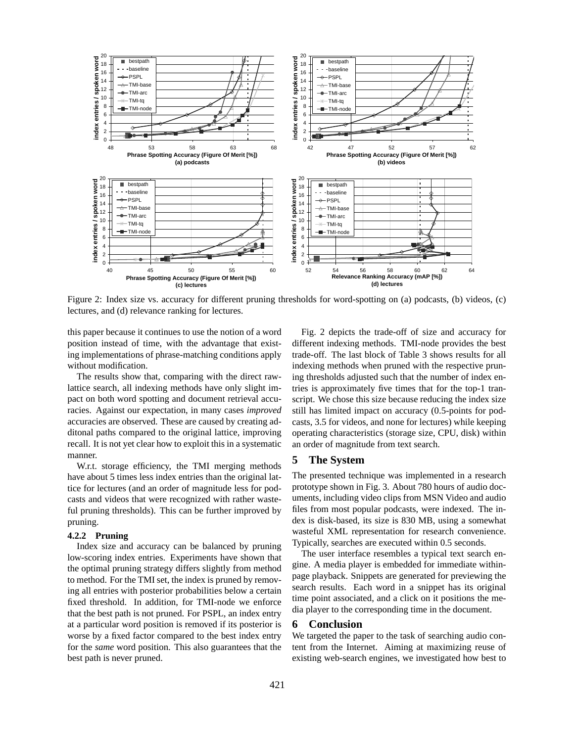

Figure 2: Index size vs. accuracy for different pruning thresholds for word-spotting on (a) podcasts, (b) videos, (c) lectures, and (d) relevance ranking for lectures.

this paper because it continues to use the notion of a word position instead of time, with the advantage that existing implementations of phrase-matching conditions apply without modification.

The results show that, comparing with the direct rawlattice search, all indexing methods have only slight impact on both word spotting and document retrieval accuracies. Against our expectation, in many cases *improved* accuracies are observed. These are caused by creating additonal paths compared to the original lattice, improving recall. It is not yet clear how to exploit this in a systematic manner.

W.r.t. storage efficiency, the TMI merging methods have about 5 times less index entries than the original lattice for lectures (and an order of magnitude less for podcasts and videos that were recognized with rather wasteful pruning thresholds). This can be further improved by pruning.

#### **4.2.2 Pruning**

Index size and accuracy can be balanced by pruning low-scoring index entries. Experiments have shown that the optimal pruning strategy differs slightly from method to method. For the TMI set, the index is pruned by removing all entries with posterior probabilities below a certain fixed threshold. In addition, for TMI-node we enforce that the best path is not pruned. For PSPL, an index entry at a particular word position is removed if its posterior is worse by a fixed factor compared to the best index entry for the *same* word position. This also guarantees that the best path is never pruned.

Fig. 2 depicts the trade-off of size and accuracy for different indexing methods. TMI-node provides the best trade-off. The last block of Table 3 shows results for all indexing methods when pruned with the respective pruning thresholds adjusted such that the number of index entries is approximately five times that for the top-1 transcript. We chose this size because reducing the index size still has limited impact on accuracy (0.5-points for podcasts, 3.5 for videos, and none for lectures) while keeping operating characteristics (storage size, CPU, disk) within an order of magnitude from text search.

## **5 The System**

The presented technique was implemented in a research prototype shown in Fig. 3. About 780 hours of audio documents, including video clips from MSN Video and audio files from most popular podcasts, were indexed. The index is disk-based, its size is 830 MB, using a somewhat wasteful XML representation for research convenience. Typically, searches are executed within 0.5 seconds.

The user interface resembles a typical text search engine. A media player is embedded for immediate withinpage playback. Snippets are generated for previewing the search results. Each word in a snippet has its original time point associated, and a click on it positions the media player to the corresponding time in the document.

## **6 Conclusion**

We targeted the paper to the task of searching audio content from the Internet. Aiming at maximizing reuse of existing web-search engines, we investigated how best to